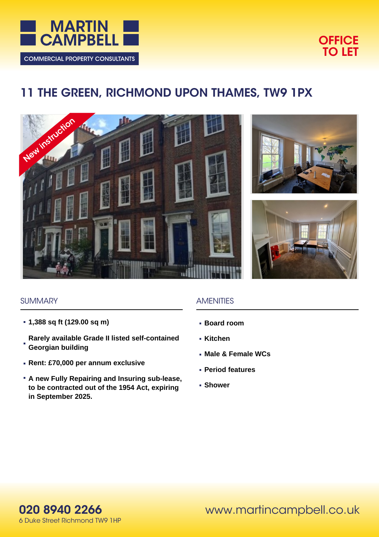



# **11 THE GREEN, RICHMOND UPON THAMES, TW9 1PX**







#### **SUMMARY**

- **1,388 sq ft (129.00 sq m)**
- **Rarely available Grade II listed self-contained Georgian building**
- **Rent: £70,000 per annum exclusive**
- **A new Fully Repairing and Insuring sub-lease, to be contracted out of the 1954 Act, expiring in September 2025.**

## AMENITIES

- **Board room**
- **Kitchen**
- **Male & Female WCs**
- **Period features**
- **Shower**



www.martincampbell.co.uk